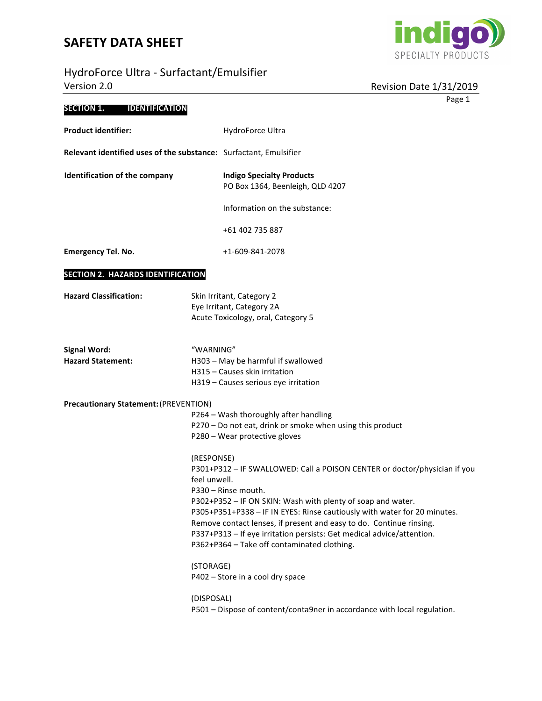# HydroForce Ultra - Surfactant/Emulsifierr



| HydroForce Ultra - Surfactant/Emulsifier<br>Version 2.0           |                            | Revision Date 1/31/2019                                                                                                                                                                                                                                                                                                                                                                                                                    |
|-------------------------------------------------------------------|----------------------------|--------------------------------------------------------------------------------------------------------------------------------------------------------------------------------------------------------------------------------------------------------------------------------------------------------------------------------------------------------------------------------------------------------------------------------------------|
|                                                                   |                            | Page 1                                                                                                                                                                                                                                                                                                                                                                                                                                     |
| <b>SECTION 1.</b><br><b>IDENTIFICATION</b>                        |                            |                                                                                                                                                                                                                                                                                                                                                                                                                                            |
| <b>Product identifier:</b>                                        |                            | HydroForce Ultra                                                                                                                                                                                                                                                                                                                                                                                                                           |
| Relevant identified uses of the substance: Surfactant, Emulsifier |                            |                                                                                                                                                                                                                                                                                                                                                                                                                                            |
| <b>Identification of the company</b>                              |                            | <b>Indigo Specialty Products</b><br>PO Box 1364, Beenleigh, QLD 4207                                                                                                                                                                                                                                                                                                                                                                       |
|                                                                   |                            | Information on the substance:                                                                                                                                                                                                                                                                                                                                                                                                              |
|                                                                   |                            | +61 402 735 887                                                                                                                                                                                                                                                                                                                                                                                                                            |
| <b>Emergency Tel. No.</b>                                         |                            | +1-609-841-2078                                                                                                                                                                                                                                                                                                                                                                                                                            |
| SECTION 2. HAZARDS IDENTIFICATION                                 |                            |                                                                                                                                                                                                                                                                                                                                                                                                                                            |
| <b>Hazard Classification:</b>                                     |                            | Skin Irritant, Category 2<br>Eye Irritant, Category 2A<br>Acute Toxicology, oral, Category 5                                                                                                                                                                                                                                                                                                                                               |
| <b>Signal Word:</b><br><b>Hazard Statement:</b>                   | "WARNING"                  | H303 - May be harmful if swallowed<br>H315 - Causes skin irritation<br>H319 - Causes serious eye irritation                                                                                                                                                                                                                                                                                                                                |
| Precautionary Statement: (PREVENTION)                             |                            | P264 - Wash thoroughly after handling<br>P270 - Do not eat, drink or smoke when using this product<br>P280 - Wear protective gloves                                                                                                                                                                                                                                                                                                        |
|                                                                   | (RESPONSE)<br>feel unwell. | P301+P312 - IF SWALLOWED: Call a POISON CENTER or doctor/physician if you<br>P330 - Rinse mouth.<br>P302+P352 - IF ON SKIN: Wash with plenty of soap and water.<br>P305+P351+P338 - IF IN EYES: Rinse cautiously with water for 20 minutes.<br>Remove contact lenses, if present and easy to do. Continue rinsing.<br>P337+P313 - If eye irritation persists: Get medical advice/attention.<br>P362+P364 - Take off contaminated clothing. |
|                                                                   | (STORAGE)                  | P402 - Store in a cool dry space                                                                                                                                                                                                                                                                                                                                                                                                           |
|                                                                   | (DISPOSAL)                 | P501 - Dispose of content/conta9ner in accordance with local regulation.                                                                                                                                                                                                                                                                                                                                                                   |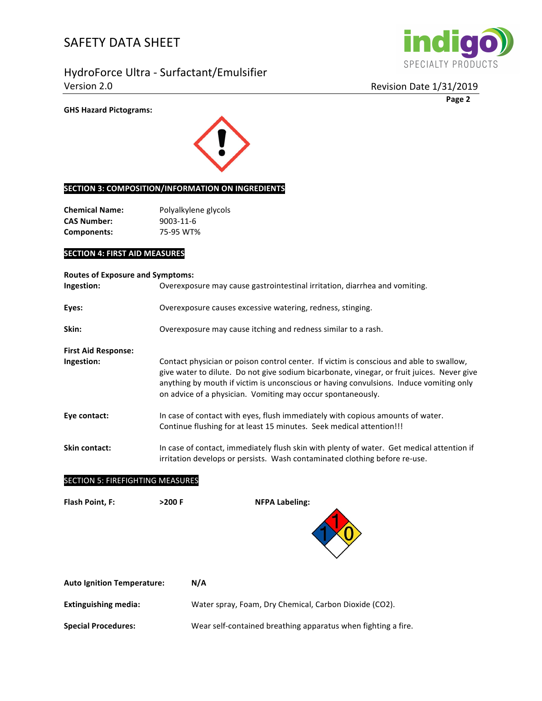HydroForce Ultra - Surfactant/Emulsifier Version 2.0 **Canadian Contract Contract Contract Contract Contract Contract Contract Contract Contract Contract Contract Contract Contract Contract Contract Contract Contract Contract Contract Contract Contract Contract Co** 



**Page 2**

#### **GHS Hazard Pictograms:**



#### **SECTION 3: COMPOSITION/INFORMATION ON INGREDIENTS**

| <b>Chemical Name:</b> | Polyalkylene glycols |
|-----------------------|----------------------|
| CAS Number:           | 9003-11-6            |
| Components:           | 75-95 WT%            |

#### **SECTION 4: FIRST AID MEASURES**

| <b>Routes of Exposure and Symptoms:</b> |                                                                                                                                                                                                                                                                                                                                                |  |  |  |
|-----------------------------------------|------------------------------------------------------------------------------------------------------------------------------------------------------------------------------------------------------------------------------------------------------------------------------------------------------------------------------------------------|--|--|--|
| Ingestion:                              | Overexposure may cause gastrointestinal irritation, diarrhea and vomiting.                                                                                                                                                                                                                                                                     |  |  |  |
| Eyes:                                   | Overexposure causes excessive watering, redness, stinging.                                                                                                                                                                                                                                                                                     |  |  |  |
| Skin:                                   | Overexposure may cause itching and redness similar to a rash.                                                                                                                                                                                                                                                                                  |  |  |  |
| <b>First Aid Response:</b>              |                                                                                                                                                                                                                                                                                                                                                |  |  |  |
| Ingestion:                              | Contact physician or poison control center. If victim is conscious and able to swallow,<br>give water to dilute. Do not give sodium bicarbonate, vinegar, or fruit juices. Never give<br>anything by mouth if victim is unconscious or having convulsions. Induce vomiting only<br>on advice of a physician. Vomiting may occur spontaneously. |  |  |  |
| Eye contact:                            | In case of contact with eyes, flush immediately with copious amounts of water.<br>Continue flushing for at least 15 minutes. Seek medical attention!!!                                                                                                                                                                                         |  |  |  |
| Skin contact:                           | In case of contact, immediately flush skin with plenty of water. Get medical attention if<br>irritation develops or persists. Wash contaminated clothing before re-use.                                                                                                                                                                        |  |  |  |
| <b>SECTION 5: FIREFIGHTING MEASURES</b> |                                                                                                                                                                                                                                                                                                                                                |  |  |  |
| <b>Flash Point, F:</b>                  | $>200$ F<br><b>NFPA Labeling:</b>                                                                                                                                                                                                                                                                                                              |  |  |  |
|                                         |                                                                                                                                                                                                                                                                                                                                                |  |  |  |
| <b>Auto Ignition Temperature:</b>       | N/A                                                                                                                                                                                                                                                                                                                                            |  |  |  |

| <b>Extinguishing media:</b> | Water spray, Foam, Dry Chemical, Carbon Dioxide (CO2). |
|-----------------------------|--------------------------------------------------------|
|                             |                                                        |

**Special Procedures:** Wear self-contained breathing apparatus when fighting a fire.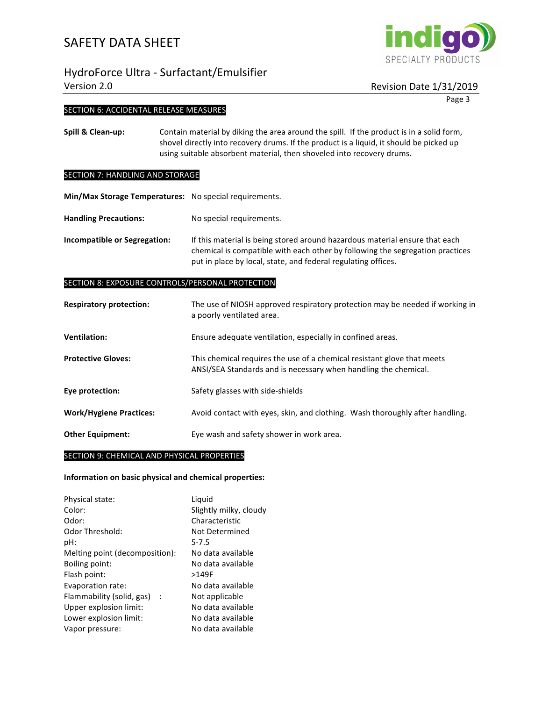## HydroForce Ultra - Surfactant/Emulsifier Version 2.0 **Matus** 2.0 **Revision** Date 1/31/2019

# SPECIALTY PRODUCTS

**india** 

Page 3

#### SECTION 6: ACCIDENTAL RELEASE MEASURES

**Spill & Clean-up:** Contain material by diking the area around the spill. If the product is in a solid form, shovel directly into recovery drums. If the product is a liquid, it should be picked up using suitable absorbent material, then shoveled into recovery drums.

#### SECTION 7: HANDLING AND STORAGE

**Min/Max Storage Temperatures:** No special requirements.

Handling Precautions: No special requirements.

**Incompatible or Segregation:** If this material is being stored around hazardous material ensure that each chemical is compatible with each other by following the segregation practices put in place by local, state, and federal regulating offices.

#### SECTION 8: EXPOSURE CONTROLS/PERSONAL PROTECTION

| <b>Respiratory protection:</b> | The use of NIOSH approved respiratory protection may be needed if working in<br>a poorly ventilated area.                                  |
|--------------------------------|--------------------------------------------------------------------------------------------------------------------------------------------|
| <b>Ventilation:</b>            | Ensure adequate ventilation, especially in confined areas.                                                                                 |
| <b>Protective Gloves:</b>      | This chemical requires the use of a chemical resistant glove that meets<br>ANSI/SEA Standards and is necessary when handling the chemical. |
| Eye protection:                | Safety glasses with side-shields                                                                                                           |
| <b>Work/Hygiene Practices:</b> | Avoid contact with eyes, skin, and clothing. Wash thoroughly after handling.                                                               |
| <b>Other Equipment:</b>        | Eye wash and safety shower in work area.                                                                                                   |

#### SECTION 9: CHEMICAL AND PHYSICAL PROPERTIES

#### **Information on basic physical and chemical properties:**

| Physical state:                      | Liguid                 |
|--------------------------------------|------------------------|
| Color:                               | Slightly milky, cloudy |
| Odor:                                | Characteristic         |
| Odor Threshold:                      | Not Determined         |
| pH:                                  | $5 - 7.5$              |
| Melting point (decomposition):       | No data available      |
| Boiling point:                       | No data available      |
| Flash point:                         | >149F                  |
| Evaporation rate:                    | No data available      |
| Flammability (solid, gas)<br>$\cdot$ | Not applicable         |
| Upper explosion limit:               | No data available      |
| Lower explosion limit:               | No data available      |
| Vapor pressure:                      | No data available      |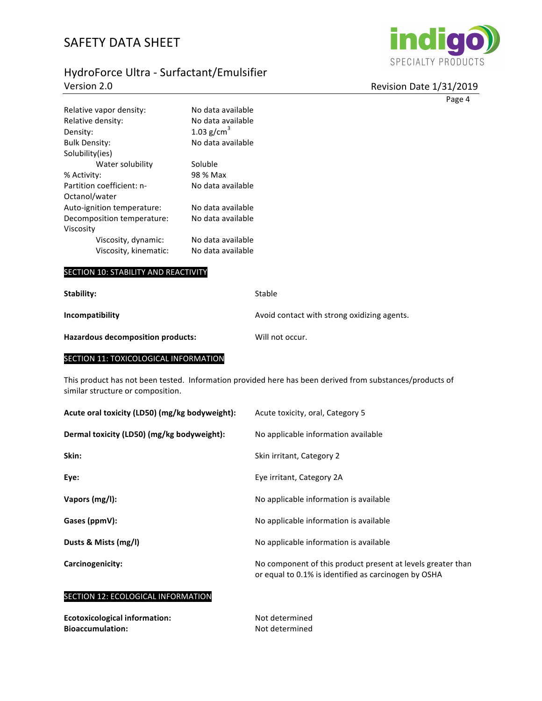# HydroForce Ultra - Surfactant/Emulsifier Version 2.0



 $\overline{4}$ 

| Revision Date 1/31/2019 |  |  |
|-------------------------|--|--|
|                         |  |  |

|                                          |                   |                                             | Page |
|------------------------------------------|-------------------|---------------------------------------------|------|
| Relative vapor density:                  | No data available |                                             |      |
| Relative density:                        | No data available |                                             |      |
| Density:                                 | 1.03 $g/cm^3$     |                                             |      |
| <b>Bulk Density:</b>                     | No data available |                                             |      |
| Solubility(ies)                          |                   |                                             |      |
| Water solubility                         | Soluble           |                                             |      |
| % Activity:                              | 98 % Max          |                                             |      |
| Partition coefficient: n-                | No data available |                                             |      |
| Octanol/water                            |                   |                                             |      |
| Auto-ignition temperature:               | No data available |                                             |      |
| Decomposition temperature:               | No data available |                                             |      |
| Viscosity                                |                   |                                             |      |
| Viscosity, dynamic:                      | No data available |                                             |      |
| Viscosity, kinematic:                    | No data available |                                             |      |
| SECTION 10: STABILITY AND REACTIVITY     |                   |                                             |      |
| Stability:                               |                   | Stable                                      |      |
| Incompatibility                          |                   | Avoid contact with strong oxidizing agents. |      |
| <b>Hazardous decomposition products:</b> |                   | Will not occur.                             |      |
| SECTION 11: TOXICOLOGICAL INFORMATION    |                   |                                             |      |
|                                          |                   |                                             |      |

This product has not been tested. Information provided here has been derived from substances/products of similar structure or composition.

| Acute oral toxicity (LD50) (mg/kg bodyweight): | Acute toxicity, oral, Category 5                                                                                    |
|------------------------------------------------|---------------------------------------------------------------------------------------------------------------------|
| Dermal toxicity (LD50) (mg/kg bodyweight):     | No applicable information available                                                                                 |
| Skin:                                          | Skin irritant, Category 2                                                                                           |
| Eye:                                           | Eye irritant, Category 2A                                                                                           |
| Vapors (mg/l):                                 | No applicable information is available                                                                              |
| Gases (ppmV):                                  | No applicable information is available                                                                              |
| Dusts & Mists (mg/l)                           | No applicable information is available                                                                              |
| Carcinogenicity:                               | No component of this product present at levels greater than<br>or equal to 0.1% is identified as carcinogen by OSHA |

### SECTION 12: ECOLOGICAL INFORMATION

| <b>Ecotoxicological information:</b> | Not determined |
|--------------------------------------|----------------|
| <b>Bioaccumulation:</b>              | Not determined |